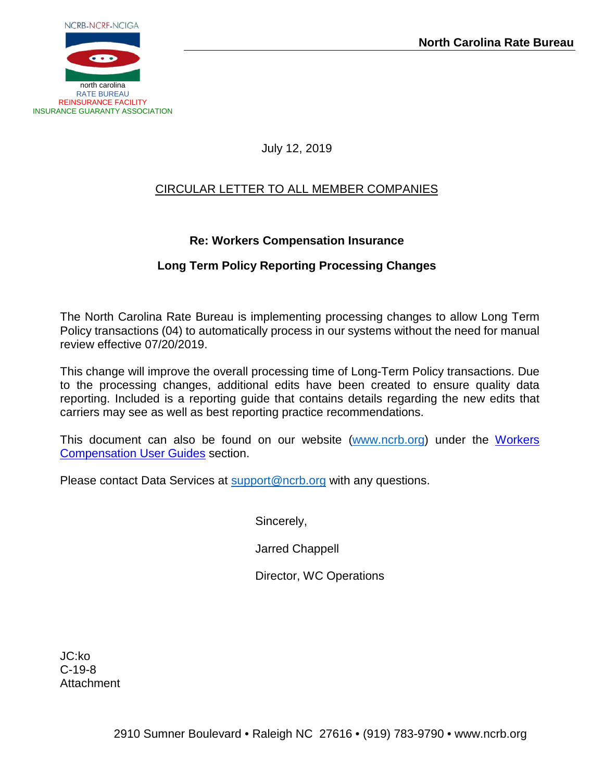

July 12, 2019

## CIRCULAR LETTER TO ALL MEMBER COMPANIES

## **Re: Workers Compensation Insurance**

## **Long Term Policy Reporting Processing Changes**

The North Carolina Rate Bureau is implementing processing changes to allow Long Term Policy transactions (04) to automatically process in our systems without the need for manual review effective 07/20/2019.

This change will improve the overall processing time of Long-Term Policy transactions. Due to the processing changes, additional edits have been created to ensure quality data reporting. Included is a reporting guide that contains details regarding the new edits that carriers may see as well as best reporting practice recommendations.

This document can also be found on our website [\(www.ncrb.org\)](http://www.ncrb.org/) under the Workers [Compensation User Guides](http://www.ncrb.org/ncrb/traininguserguides/userguides.aspx) section.

Please contact Data Services at [support@ncrb.org](mailto:support@ncrb.org) with any questions.

Sincerely,

Jarred Chappell

Director, WC Operations

JC:ko C-19-8 **Attachment**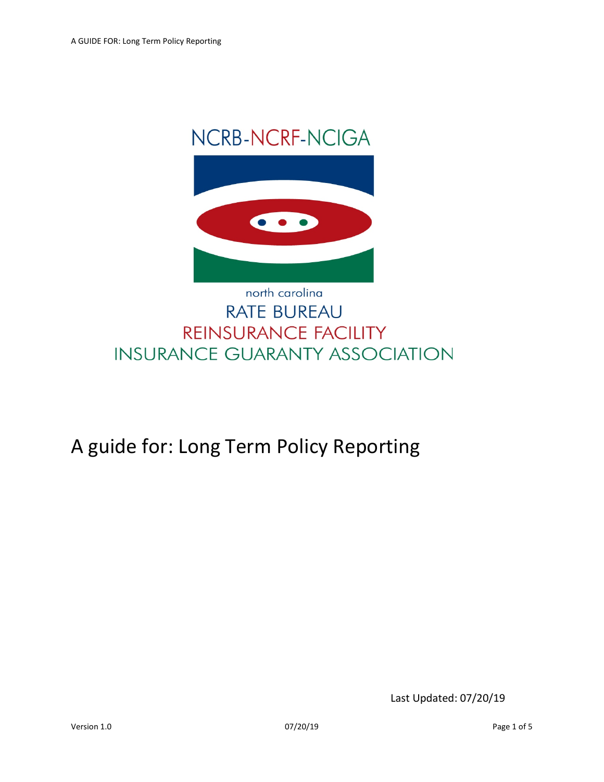

# **RATE BUREAU** REINSURANCE FACILITY **INSURANCE GUARANTY ASSOCIATION**

# A guide for: Long Term Policy Reporting

Last Updated: 07/20/19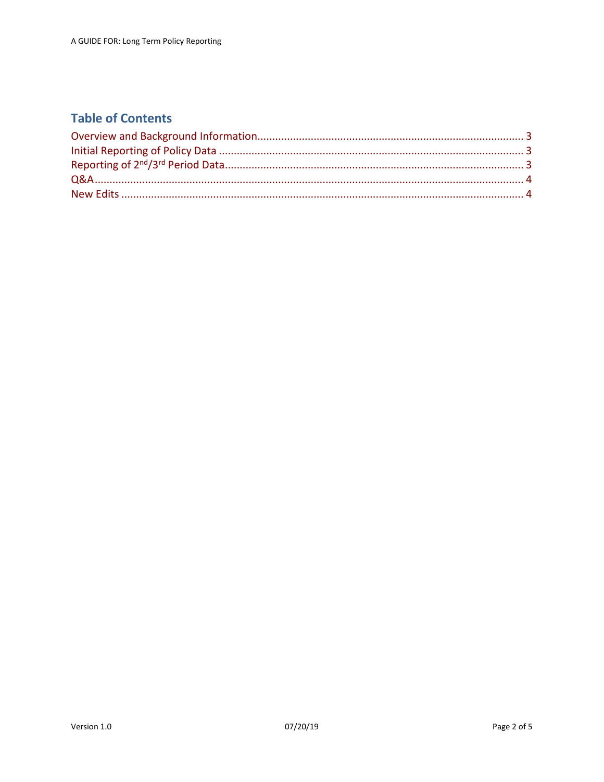# **Table of Contents**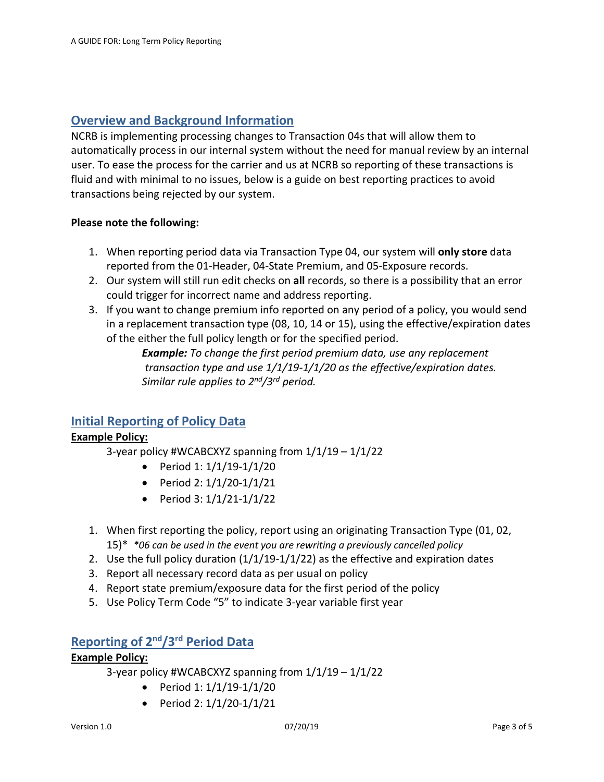## <span id="page-3-0"></span>**Overview and Background Information**

NCRB is implementing processing changes to Transaction 04s that will allow them to automatically process in our internal system without the need for manual review by an internal user. To ease the process for the carrier and us at NCRB so reporting of these transactions is fluid and with minimal to no issues, below is a guide on best reporting practices to avoid transactions being rejected by our system.

#### **Please note the following:**

- 1. When reporting period data via Transaction Type 04, our system will **only store** data reported from the 01-Header, 04-State Premium, and 05-Exposure records.
- 2. Our system will still run edit checks on **all** records, so there is a possibility that an error could trigger for incorrect name and address reporting.
- 3. If you want to change premium info reported on any period of a policy, you would send in a replacement transaction type (08, 10, 14 or 15), using the effective/expiration dates of the either the full policy length or for the specified period.

*Example: To change the first period premium data, use any replacement transaction type and use 1/1/19-1/1/20 as the effective/expiration dates. Similar rule applies to 2nd/3rd period.*

### <span id="page-3-1"></span>**Initial Reporting of Policy Data**

#### **Example Policy:**

- 3-year policy #WCABCXYZ spanning from 1/1/19 1/1/22
	- Period  $1: 1/1/19 1/1/20$
	- Period 2: 1/1/20-1/1/21
	- Period 3: 1/1/21-1/1/22
- 1. When first reporting the policy, report using an originating Transaction Type (01, 02, 15)\* *\*06 can be used in the event you are rewriting a previously cancelled policy*
- 2. Use the full policy duration (1/1/19-1/1/22) as the effective and expiration dates
- 3. Report all necessary record data as per usual on policy
- 4. Report state premium/exposure data for the first period of the policy
- <span id="page-3-2"></span>5. Use Policy Term Code "5" to indicate 3-year variable first year

## **Reporting of 2nd/3rd Period Data**

#### **Example Policy:**

3-year policy #WCABCXYZ spanning from 1/1/19 – 1/1/22

- Period  $1: 1/1/19 1/1/20$
- Period 2: 1/1/20-1/1/21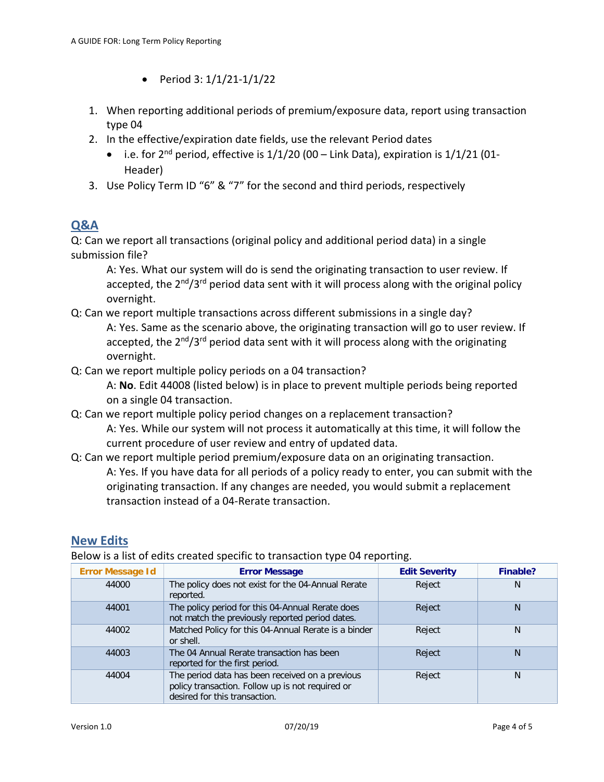- Period  $3: 1/1/21 1/1/22$
- 1. When reporting additional periods of premium/exposure data, report using transaction type 04
- 2. In the effective/expiration date fields, use the relevant Period dates
	- i.e. for  $2^{nd}$  period, effective is  $1/1/20$  (00 Link Data), expiration is  $1/1/21$  (01-Header)
- <span id="page-4-0"></span>3. Use Policy Term ID "6" & "7" for the second and third periods, respectively

## **Q&A**

Q: Can we report all transactions (original policy and additional period data) in a single submission file?

A: Yes. What our system will do is send the originating transaction to user review. If accepted, the  $2^{nd}/3^{rd}$  period data sent with it will process along with the original policy overnight.

Q: Can we report multiple transactions across different submissions in a single day? A: Yes. Same as the scenario above, the originating transaction will go to user review. If accepted, the  $2^{nd}/3^{rd}$  period data sent with it will process along with the originating overnight.

Q: Can we report multiple policy periods on a 04 transaction?

A: **No**. Edit 44008 (listed below) is in place to prevent multiple periods being reported on a single 04 transaction.

- Q: Can we report multiple policy period changes on a replacement transaction? A: Yes. While our system will not process it automatically at this time, it will follow the current procedure of user review and entry of updated data.
- Q: Can we report multiple period premium/exposure data on an originating transaction. A: Yes. If you have data for all periods of a policy ready to enter, you can submit with the originating transaction. If any changes are needed, you would submit a replacement transaction instead of a 04-Rerate transaction.

## <span id="page-4-1"></span>**New Edits**

Below is a list of edits created specific to transaction type 04 reporting.

| <b>Error Message Id</b> | <b>Error Message</b>                                                                                                                 | <b>Edit Severity</b> | Finable? |
|-------------------------|--------------------------------------------------------------------------------------------------------------------------------------|----------------------|----------|
| 44000                   | The policy does not exist for the 04-Annual Rerate<br>reported.                                                                      | Reject               | N        |
| 44001                   | The policy period for this 04-Annual Rerate does<br>not match the previously reported period dates.                                  | Reject               | N        |
| 44002                   | Matched Policy for this 04-Annual Rerate is a binder<br>or shell.                                                                    | Reject               | N        |
| 44003                   | The 04 Annual Rerate transaction has been<br>reported for the first period.                                                          | Reject               | N        |
| 44004                   | The period data has been received on a previous<br>policy transaction. Follow up is not required or<br>desired for this transaction. | Reject               | N        |